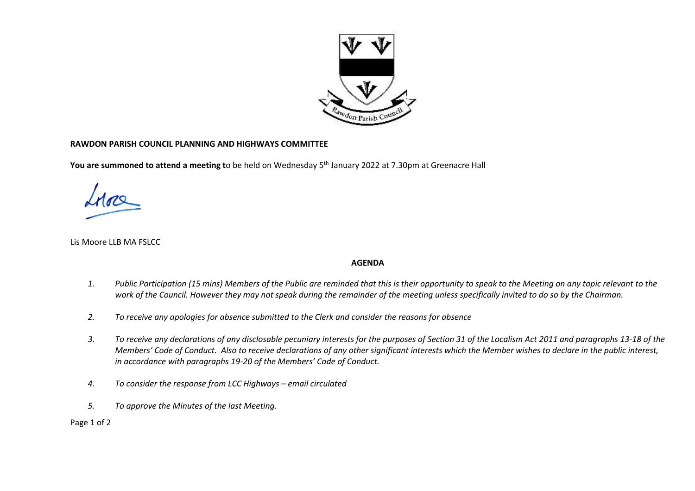

## **RAWDON PARISH COUNCIL PLANNING AND HIGHWAYS COMMITTEE**

**You are summoned to attend a meeting t**o be held on Wednesday 5 th January 2022 at 7.30pm at Greenacre Hall

Lis Moore LLB MA FSLCC

## **AGENDA**

- *1. Public Participation (15 mins) Members of the Public are reminded that this is their opportunity to speak to the Meeting on any topic relevant to the work of the Council. However they may not speak during the remainder of the meeting unless specifically invited to do so by the Chairman.*
- *2. To receive any apologies for absence submitted to the Clerk and consider the reasons for absence*
- *3. To receive any declarations of any disclosable pecuniary interests for the purposes of Section 31 of the Localism Act 2011 and paragraphs 13-18 of the Members' Code of Conduct. Also to receive declarations of any other significant interests which the Member wishes to declare in the public interest, in accordance with paragraphs 19-20 of the Members' Code of Conduct.*
- *4. To consider the response from LCC Highways – email circulated*
- *5. To approve the Minutes of the last Meeting.*

Page 1 of 2